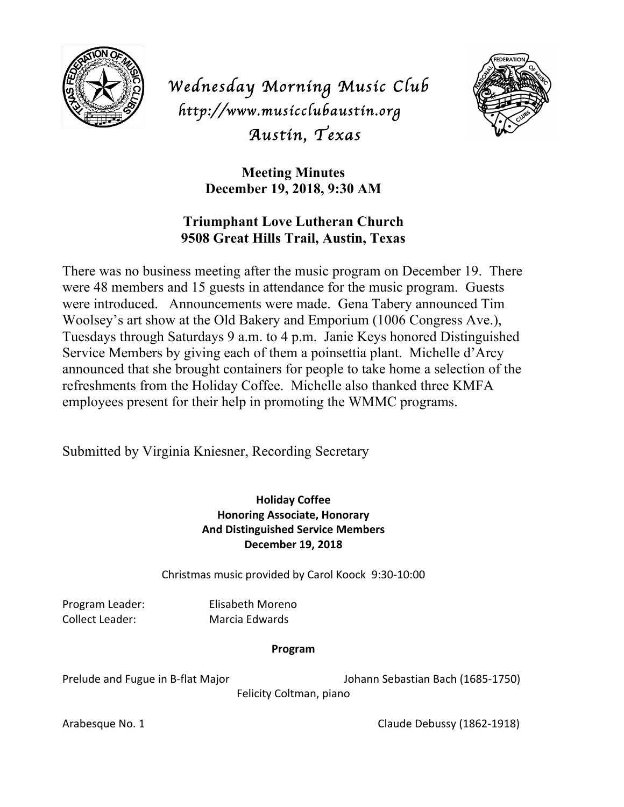

*Wednesday Morning Music Club http://www.musicclubaustin.org Austin, Texas* 



**Meeting Minutes December 19, 2018, 9:30 AM**

## **Triumphant Love Lutheran Church 9508 Great Hills Trail, Austin, Texas**

There was no business meeting after the music program on December 19. There were 48 members and 15 guests in attendance for the music program. Guests were introduced. Announcements were made. Gena Tabery announced Tim Woolsey's art show at the Old Bakery and Emporium (1006 Congress Ave.), Tuesdays through Saturdays 9 a.m. to 4 p.m. Janie Keys honored Distinguished Service Members by giving each of them a poinsettia plant. Michelle d'Arcy announced that she brought containers for people to take home a selection of the refreshments from the Holiday Coffee. Michelle also thanked three KMFA employees present for their help in promoting the WMMC programs.

Submitted by Virginia Kniesner, Recording Secretary

## **Holiday Coffee Honoring Associate, Honorary And Distinguished Service Members December 19, 2018**

Christmas music provided by Carol Koock 9:30-10:00

Program Leader: Elisabeth Moreno Collect Leader: Marcia Edwards

## **Program**

Prelude and Fugue in B-flat Major Johann Sebastian Bach (1685-1750)

Felicity Coltman, piano

Arabesque No. 1 Claude Debussy (1862-1918)